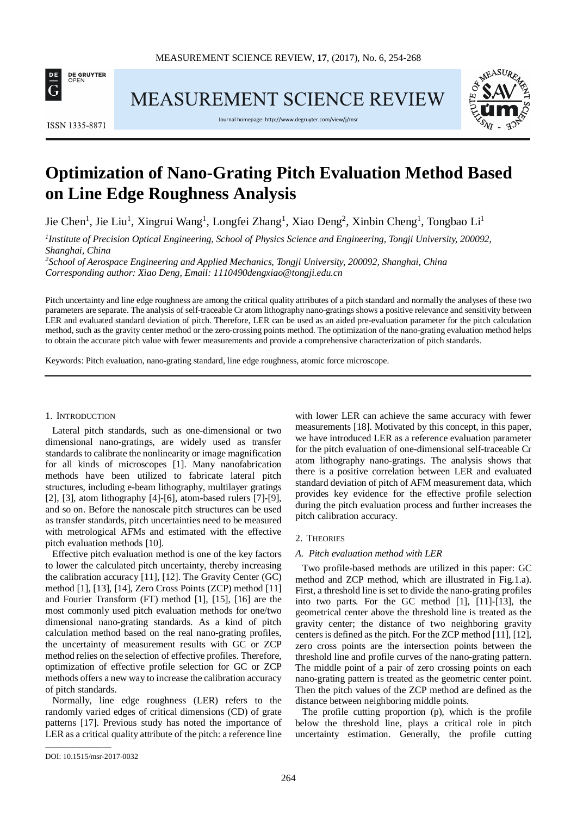

MEASUREMENT SCIENCE REVIEW



Journal homepage[: http://www.degruyter.com/view/j/msr](http://www.degruyter.com/view/j/msr)



# **Optimization of Nano-Grating Pitch Evaluation Method Based on Line Edge Roughness Analysis**

Jie Chen<sup>1</sup>, Jie Liu<sup>1</sup>, Xingrui Wang<sup>1</sup>, Longfei Zhang<sup>1</sup>, Xiao Deng<sup>2</sup>, Xinbin Cheng<sup>1</sup>, Tongbao Li<sup>1</sup>

<sup>1</sup>Institute of Precision Optical Engineering, School of Physics Science and Engineering, Tongji University, 200092, *Shanghai, China* 

*2 School of Aerospace Engineering and Applied Mechanics, Tongji University, 200092, Shanghai, China Corresponding author: Xiao Deng, Email: [1110490dengxiao@tongji.edu.cn](mailto:1110490dengxiao@tongji.edu.cn)*

Pitch uncertainty and line edge roughness are among the critical quality attributes of a pitch standard and normally the analyses of these two parameters are separate. The analysis of self-traceable Cr atom lithography nano-gratings shows a positive relevance and sensitivity between LER and evaluated standard deviation of pitch. Therefore, LER can be used as an aided pre-evaluation parameter for the pitch calculation method, such as the gravity center method or the zero-crossing points method. The optimization of the nano-grating evaluation method helps to obtain the accurate pitch value with fewer measurements and provide a comprehensive characterization of pitch standards.

Keywords: Pitch evaluation, nano-grating standard, line edge roughness, atomic force microscope.

#### 1. INTRODUCTION

Lateral pitch standards, such as one-dimensional or two dimensional nano-gratings, are widely used as transfer standards to calibrate the nonlinearity or image magnification for all kinds of microscopes [1]. Many nanofabrication methods have been utilized to fabricate lateral pitch structures, including e-beam lithography, multilayer gratings [2], [3], atom lithography [4]-[6], atom-based rulers [7]-[9], and so on. Before the nanoscale pitch structures can be used as transfer standards, pitch uncertainties need to be measured with metrological AFMs and estimated with the effective pitch evaluation methods [10].

Effective pitch evaluation method is one of the key factors to lower the calculated pitch uncertainty, thereby increasing the calibration accuracy [11], [12]. The Gravity Center (GC) method [1], [13], [14], Zero Cross Points (ZCP) method [11] and Fourier Transform (FT) method [1], [15], [16] are the most commonly used pitch evaluation methods for one/two dimensional nano-grating standards. As a kind of pitch calculation method based on the real nano-grating profiles, the uncertainty of measurement results with GC or ZCP method relies on the selection of effective profiles. Therefore, optimization of effective profile selection for GC or ZCP methods offers a new way to increase the calibration accuracy of pitch standards.

Normally, line edge roughness (LER) refers to the randomly varied edges of critical dimensions (CD) of grate patterns [17]. Previous study has noted the importance of LER as a critical quality attribute of the pitch: a reference line with lower LER can achieve the same accuracy with fewer measurements [18]. Motivated by this concept, in this paper, we have introduced LER as a reference evaluation parameter for the pitch evaluation of one-dimensional self-traceable Cr atom lithography nano-gratings. The analysis shows that there is a positive correlation between LER and evaluated standard deviation of pitch of AFM measurement data, which provides key evidence for the effective profile selection during the pitch evaluation process and further increases the pitch calibration accuracy.

# 2. THEORIES

### *A. Pitch evaluation method with LER*

Two profile-based methods are utilized in this paper: GC method and ZCP method, which are illustrated in Fig.1.a). First, a threshold line is set to divide the nano-grating profiles into two parts. For the GC method [1], [11]-[13], the geometrical center above the threshold line is treated as the gravity center; the distance of two neighboring gravity centers is defined as the pitch. For the ZCP method [11], [12], zero cross points are the intersection points between the threshold line and profile curves of the nano-grating pattern. The middle point of a pair of zero crossing points on each nano-grating pattern is treated as the geometric center point. Then the pitch values of the ZCP method are defined as the distance between neighboring middle points.

The profile cutting proportion (p), which is the profile below the threshold line, plays a critical role in pitch uncertainty estimation. Generally, the profile cutting

\_\_\_\_\_\_\_\_\_\_\_\_\_\_\_\_\_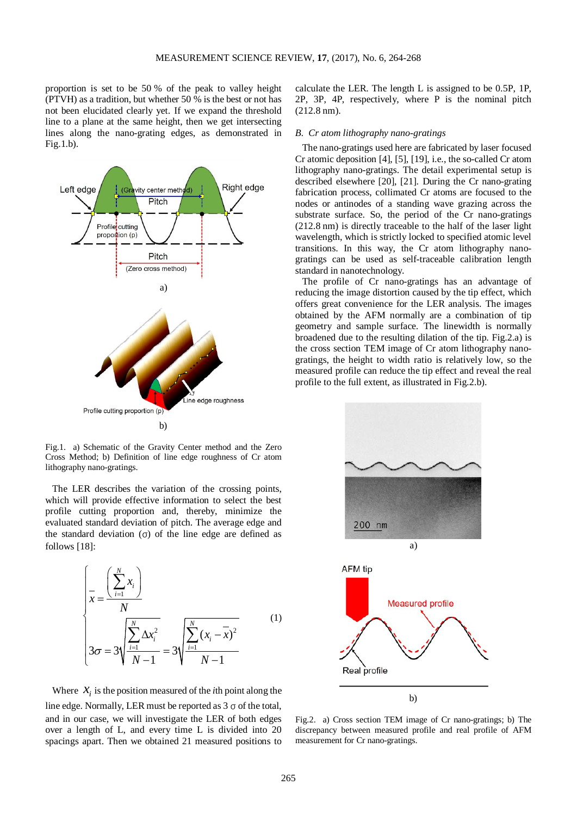proportion is set to be 50 % of the peak to valley height (PTVH) as a tradition, but whether 50 % is the best or not has not been elucidated clearly yet. If we expand the threshold line to a plane at the same height, then we get intersecting lines along the nano-grating edges, as demonstrated in Fig.1.b).



Fig.1. a) Schematic of the Gravity Center method and the Zero Cross Method; b) Definition of line edge roughness of Cr atom lithography nano-gratings.

The LER describes the variation of the crossing points, which will provide effective information to select the best profile cutting proportion and, thereby, minimize the evaluated standard deviation of pitch. The average edge and the standard deviation  $(0)$  of the line edge are defined as follows [18]:

$$
\begin{cases}\n\frac{1}{x} = \frac{\left(\sum_{i=1}^{N} x_i\right)}{N} \\
3\sigma = 3\sqrt{\frac{\sum_{i=1}^{N} \Delta x_i^2}{N-1}} = 3\sqrt{\frac{\sum_{i=1}^{N} (x_i - \overline{x})^2}{N-1}}\n\end{cases} (1)
$$

Where  $X_i$  is the position measured of the *i*th point along the line edge. Normally, LER must be reported as  $3\sigma$  of the total, and in our case, we will investigate the LER of both edges over a length of L, and every time L is divided into 20 spacings apart. Then we obtained 21 measured positions to calculate the LER. The length L is assigned to be 0.5P, 1P, 2P, 3P, 4P, respectively, where P is the nominal pitch (212.8 nm).

## *B. Cr atom lithography nano-gratings*

The nano-gratings used here are fabricated by laser focused Cr atomic deposition [4], [5], [19], i.e., the so-called Cr atom lithography nano-gratings. The detail experimental setup is described elsewhere [20], [21]. During the Cr nano-grating fabrication process, collimated Cr atoms are focused to the nodes or antinodes of a standing wave grazing across the substrate surface. So, the period of the Cr nano-gratings (212.8 nm) is directly traceable to the half of the laser light wavelength, which is strictly locked to specified atomic level transitions. In this way, the Cr atom lithography nanogratings can be used as self-traceable calibration length standard in nanotechnology.

The profile of Cr nano-gratings has an advantage of reducing the image distortion caused by the tip effect, which offers great convenience for the LER analysis. The images obtained by the AFM normally are a combination of tip geometry and sample surface. The linewidth is normally broadened due to the resulting dilation of the tip. Fig.2.a) is the cross section TEM image of Cr atom lithography nanogratings, the height to width ratio is relatively low, so the measured profile can reduce the tip effect and reveal the real profile to the full extent, as illustrated in Fig.2.b).



Fig.2. a) Cross section TEM image of Cr nano-gratings; b) The discrepancy between measured profile and real profile of AFM measurement for Cr nano-gratings.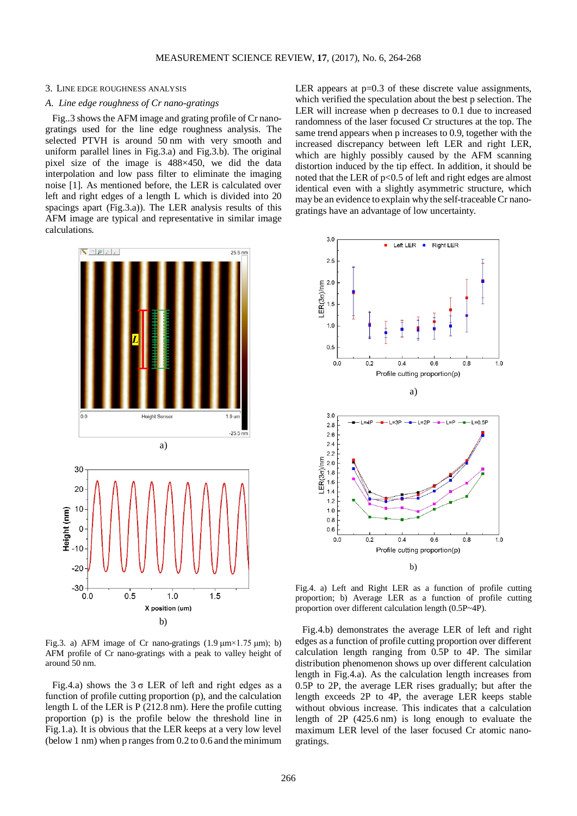## 3. LINE EDGE ROUGHNESS ANALYSIS

# *A. Line edge roughness of Cr nano-gratings*

Fig..3 shows the AFM image and grating profile of Cr nanogratings used for the line edge roughness analysis. The selected PTVH is around 50 nm with very smooth and uniform parallel lines in Fig.3.a) and Fig.3.b). The original pixel size of the image is 488×450, we did the data interpolation and low pass filter to eliminate the imaging noise [1]. As mentioned before, the LER is calculated over left and right edges of a length L which is divided into 20 spacings apart (Fig.3.a)). The LER analysis results of this AFM image are typical and representative in similar image calculations.



Fig.3. a) AFM image of Cr nano-gratings (1.9 μm×1.75 μm); b) AFM profile of Cr nano-gratings with a peak to valley height of around 50 nm.

Fig.4.a) shows the  $3\sigma$  LER of left and right edges as a function of profile cutting proportion (p), and the calculation length L of the LER is P (212.8 nm). Here the profile cutting proportion (p) is the profile below the threshold line in Fig.1.a). It is obvious that the LER keeps at a very low level (below 1 nm) when p ranges from 0.2 to 0.6 and the minimum LER appears at  $p=0.3$  of these discrete value assignments, which verified the speculation about the best p selection. The LER will increase when p decreases to 0.1 due to increased randomness of the laser focused Cr structures at the top. The same trend appears when p increases to 0.9, together with the increased discrepancy between left LER and right LER, which are highly possibly caused by the AFM scanning distortion induced by the tip effect. In addition, it should be noted that the LER of p<0.5 of left and right edges are almost identical even with a slightly asymmetric structure, which may be an evidence to explain why the self-traceable Cr nanogratings have an advantage of low uncertainty.



Fig.4. a) Left and Right LER as a function of profile cutting proportion; b) Average LER as a function of profile cutting proportion over different calculation length (0.5P~4P).

Fig.4.b) demonstrates the average LER of left and right edges as a function of profile cutting proportion over different calculation length ranging from 0.5P to 4P. The similar distribution phenomenon shows up over different calculation length in Fig.4.a). As the calculation length increases from 0.5P to 2P, the average LER rises gradually; but after the length exceeds 2P to 4P, the average LER keeps stable without obvious increase. This indicates that a calculation length of 2P (425.6 nm) is long enough to evaluate the maximum LER level of the laser focused Cr atomic nanogratings.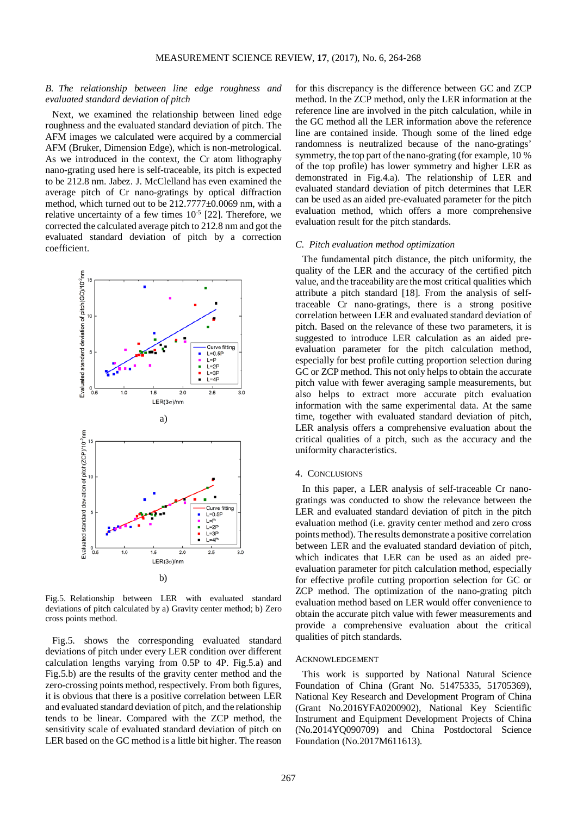# *B. The relationship between line edge roughness and evaluated standard deviation of pitch*

Next, we examined the relationship between lined edge roughness and the evaluated standard deviation of pitch. The AFM images we calculated were acquired by a commercial AFM (Bruker, Dimension Edge), which is non-metrological. As we introduced in the context, the Cr atom lithography nano-grating used here is self-traceable, its pitch is expected to be 212.8 nm. Jabez. J. McClelland has even examined the average pitch of Cr nano-gratings by optical diffraction method, which turned out to be 212.7777±0.0069 nm, with a relative uncertainty of a few times  $10^{-5}$  [22]. Therefore, we corrected the calculated average pitch to 212.8 nm and got the evaluated standard deviation of pitch by a correction coefficient.



Fig.5. Relationship between LER with evaluated standard deviations of pitch calculated by a) Gravity center method; b) Zero cross points method.

Fig.5. shows the corresponding evaluated standard deviations of pitch under every LER condition over different calculation lengths varying from 0.5P to 4P. Fig.5.a) and Fig.5.b) are the results of the gravity center method and the zero-crossing points method, respectively. From both figures, it is obvious that there is a positive correlation between LER and evaluated standard deviation of pitch, and the relationship tends to be linear. Compared with the ZCP method, the sensitivity scale of evaluated standard deviation of pitch on LER based on the GC method is a little bit higher. The reason

for this discrepancy is the difference between GC and ZCP method. In the ZCP method, only the LER information at the reference line are involved in the pitch calculation, while in the GC method all the LER information above the reference line are contained inside. Though some of the lined edge randomness is neutralized because of the nano-gratings' symmetry, the top part of the nano-grating (for example, 10 % of the top profile) has lower symmetry and higher LER as demonstrated in Fig.4.a). The relationship of LER and evaluated standard deviation of pitch determines that LER can be used as an aided pre-evaluated parameter for the pitch evaluation method, which offers a more comprehensive evaluation result for the pitch standards.

# *C. Pitch evaluation method optimization*

The fundamental pitch distance, the pitch uniformity, the quality of the LER and the accuracy of the certified pitch value, and the traceability are the most critical qualities which attribute a pitch standard [18]. From the analysis of selftraceable Cr nano-gratings, there is a strong positive correlation between LER and evaluated standard deviation of pitch. Based on the relevance of these two parameters, it is suggested to introduce LER calculation as an aided preevaluation parameter for the pitch calculation method, especially for best profile cutting proportion selection during GC or ZCP method. This not only helps to obtain the accurate pitch value with fewer averaging sample measurements, but also helps to extract more accurate pitch evaluation information with the same experimental data. At the same time, together with evaluated standard deviation of pitch, LER analysis offers a comprehensive evaluation about the critical qualities of a pitch, such as the accuracy and the uniformity characteristics.

# 4. CONCLUSIONS

In this paper, a LER analysis of self-traceable Cr nanogratings was conducted to show the relevance between the LER and evaluated standard deviation of pitch in the pitch evaluation method (i.e. gravity center method and zero cross points method). The results demonstrate a positive correlation between LER and the evaluated standard deviation of pitch, which indicates that LER can be used as an aided preevaluation parameter for pitch calculation method, especially for effective profile cutting proportion selection for GC or ZCP method. The optimization of the nano-grating pitch evaluation method based on LER would offer convenience to obtain the accurate pitch value with fewer measurements and provide a comprehensive evaluation about the critical qualities of pitch standards.

#### ACKNOWLEDGEMENT

This work is supported by National Natural Science Foundation of China (Grant No. 51475335, 51705369), National Key Research and Development Program of China (Grant No.2016YFA0200902), National Key Scientific Instrument and Equipment Development Projects of China (No.2014YQ090709) and China Postdoctoral Science Foundation (No.2017M611613).